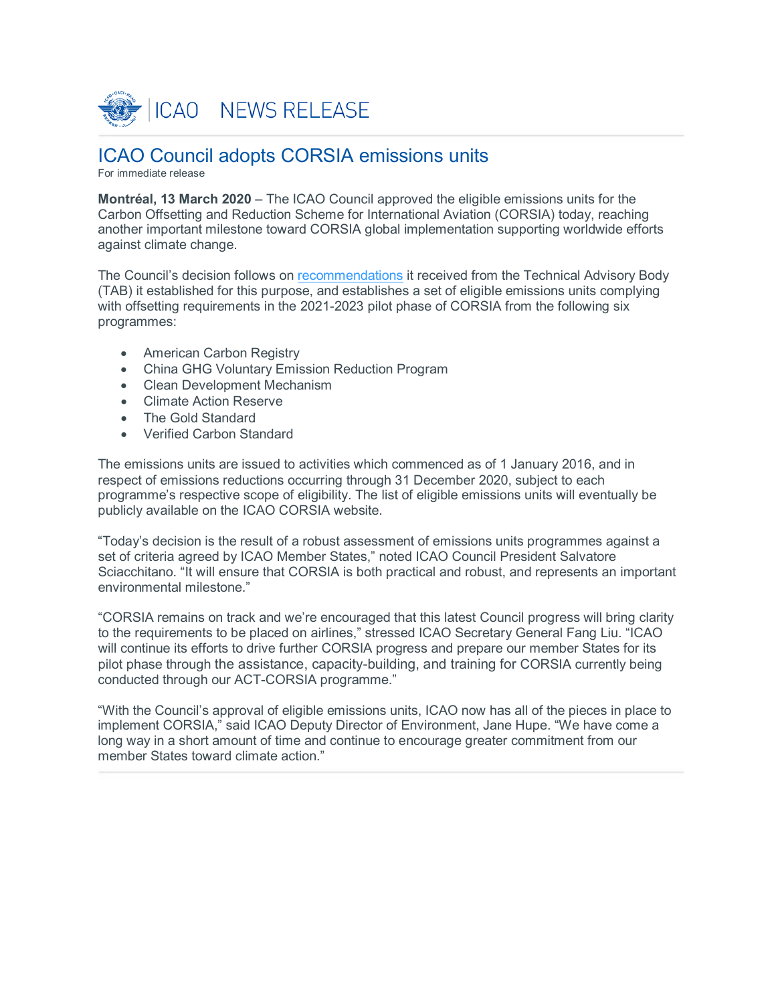

# ICAO Council adopts CORSIA emissions units

For immediate release

**Montréal, 13 March 2020** – The ICAO Council approved the eligible emissions units for the Carbon Offsetting and Reduction Scheme for International Aviation (CORSIA) today, reaching another important milestone toward CORSIA global implementation supporting worldwide efforts against climate change.

The Council's decision follows on [recommendations](https://www.icao.int/environmental-protection/CORSIA/Documents/TAB/Excerpt_TAB_Report_Jan_2020_final.pdf) it received from the Technical Advisory Body (TAB) it established for this purpose, and establishes a set of eligible emissions units complying with offsetting requirements in the 2021-2023 pilot phase of CORSIA from the following six programmes:

- American Carbon Registry
- China GHG Voluntary Emission Reduction Program
- Clean Development Mechanism
- Climate Action Reserve
- The Gold Standard
- Verified Carbon Standard

The emissions units are issued to activities which commenced as of 1 January 2016, and in respect of emissions reductions occurring through 31 December 2020, subject to each programme's respective scope of eligibility. The list of eligible emissions units will eventually be publicly available on the ICAO CORSIA website.

"Today's decision is the result of a robust assessment of emissions units programmes against a set of criteria agreed by ICAO Member States," noted ICAO Council President Salvatore Sciacchitano. "It will ensure that CORSIA is both practical and robust, and represents an important environmental milestone."

"CORSIA remains on track and we're encouraged that this latest Council progress will bring clarity to the requirements to be placed on airlines," stressed ICAO Secretary General Fang Liu. "ICAO will continue its efforts to drive further CORSIA progress and prepare our member States for its pilot phase through the assistance, capacity-building, and training for CORSIA currently being conducted through our ACT-CORSIA programme."

"With the Council's approval of eligible emissions units, ICAO now has all of the pieces in place to implement CORSIA," said ICAO Deputy Director of Environment, Jane Hupe. "We have come a long way in a short amount of time and continue to encourage greater commitment from our member States toward climate action."